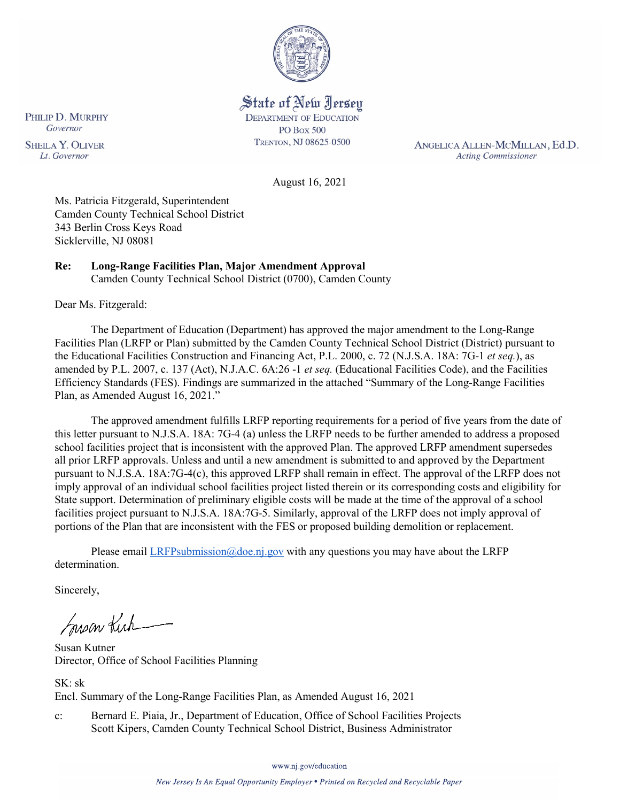

State of New Jersey **DEPARTMENT OF EDUCATION PO Box 500** TRENTON, NJ 08625-0500

ANGELICA ALLEN-MCMILLAN, Ed.D. **Acting Commissioner** 

August 16, 2021

Ms. Patricia Fitzgerald, Superintendent Camden County Technical School District 343 Berlin Cross Keys Road Sicklerville, NJ 08081

#### **Re: Long-Range Facilities Plan, Major Amendment Approval**  Camden County Technical School District (0700), Camden County

Dear Ms. Fitzgerald:

The Department of Education (Department) has approved the major amendment to the Long-Range Facilities Plan (LRFP or Plan) submitted by the Camden County Technical School District (District) pursuant to the Educational Facilities Construction and Financing Act, P.L. 2000, c. 72 (N.J.S.A. 18A: 7G-1 *et seq.*), as amended by P.L. 2007, c. 137 (Act), N.J.A.C. 6A:26 -1 *et seq.* (Educational Facilities Code), and the Facilities Efficiency Standards (FES). Findings are summarized in the attached "Summary of the Long-Range Facilities Plan, as Amended August 16, 2021."

The approved amendment fulfills LRFP reporting requirements for a period of five years from the date of this letter pursuant to N.J.S.A. 18A: 7G-4 (a) unless the LRFP needs to be further amended to address a proposed school facilities project that is inconsistent with the approved Plan. The approved LRFP amendment supersedes all prior LRFP approvals. Unless and until a new amendment is submitted to and approved by the Department pursuant to N.J.S.A. 18A:7G-4(c), this approved LRFP shall remain in effect. The approval of the LRFP does not imply approval of an individual school facilities project listed therein or its corresponding costs and eligibility for State support. Determination of preliminary eligible costs will be made at the time of the approval of a school facilities project pursuant to N.J.S.A. 18A:7G-5. Similarly, approval of the LRFP does not imply approval of portions of the Plan that are inconsistent with the FES or proposed building demolition or replacement.

Please email  $LRFP submission@doe.nj.gov$  with any questions you may have about the LRFP determination.

Sincerely,

Susan Kich

Susan Kutner Director, Office of School Facilities Planning

SK: sk Encl. Summary of the Long-Range Facilities Plan, as Amended August 16, 2021

c: Bernard E. Piaia, Jr., Department of Education, Office of School Facilities Projects Scott Kipers, Camden County Technical School District, Business Administrator

PHILIP D. MURPHY Governor **SHEILA Y. OLIVER** 

Lt. Governor

www.nj.gov/education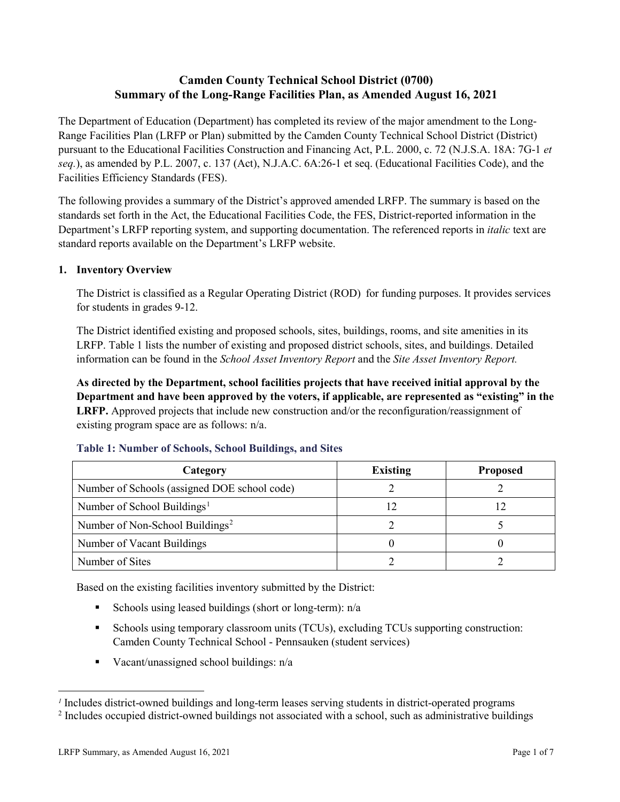# **Camden County Technical School District (0700) Summary of the Long-Range Facilities Plan, as Amended August 16, 2021**

The Department of Education (Department) has completed its review of the major amendment to the Long-Range Facilities Plan (LRFP or Plan) submitted by the Camden County Technical School District (District) pursuant to the Educational Facilities Construction and Financing Act, P.L. 2000, c. 72 (N.J.S.A. 18A: 7G-1 *et seq.*), as amended by P.L. 2007, c. 137 (Act), N.J.A.C. 6A:26-1 et seq. (Educational Facilities Code), and the Facilities Efficiency Standards (FES).

The following provides a summary of the District's approved amended LRFP. The summary is based on the standards set forth in the Act, the Educational Facilities Code, the FES, District-reported information in the Department's LRFP reporting system, and supporting documentation. The referenced reports in *italic* text are standard reports available on the Department's LRFP website.

# **1. Inventory Overview**

The District is classified as a Regular Operating District (ROD) for funding purposes. It provides services for students in grades 9-12.

The District identified existing and proposed schools, sites, buildings, rooms, and site amenities in its LRFP. Table 1 lists the number of existing and proposed district schools, sites, and buildings. Detailed information can be found in the *School Asset Inventory Report* and the *Site Asset Inventory Report.*

**As directed by the Department, school facilities projects that have received initial approval by the Department and have been approved by the voters, if applicable, are represented as "existing" in the LRFP.** Approved projects that include new construction and/or the reconfiguration/reassignment of existing program space are as follows: n/a.

| Category                                     | <b>Existing</b> | <b>Proposed</b> |
|----------------------------------------------|-----------------|-----------------|
| Number of Schools (assigned DOE school code) |                 |                 |
| Number of School Buildings <sup>1</sup>      |                 |                 |
| Number of Non-School Buildings <sup>2</sup>  |                 |                 |
| Number of Vacant Buildings                   |                 |                 |
| Number of Sites                              |                 |                 |

#### **Table 1: Number of Schools, School Buildings, and Sites**

Based on the existing facilities inventory submitted by the District:

- Schools using leased buildings (short or long-term):  $n/a$
- Schools using temporary classroom units (TCUs), excluding TCUs supporting construction: Camden County Technical School - Pennsauken (student services)
- Vacant/unassigned school buildings: n/a

 $\overline{a}$ 

<span id="page-1-1"></span><span id="page-1-0"></span>*<sup>1</sup>* Includes district-owned buildings and long-term leases serving students in district-operated programs

<sup>&</sup>lt;sup>2</sup> Includes occupied district-owned buildings not associated with a school, such as administrative buildings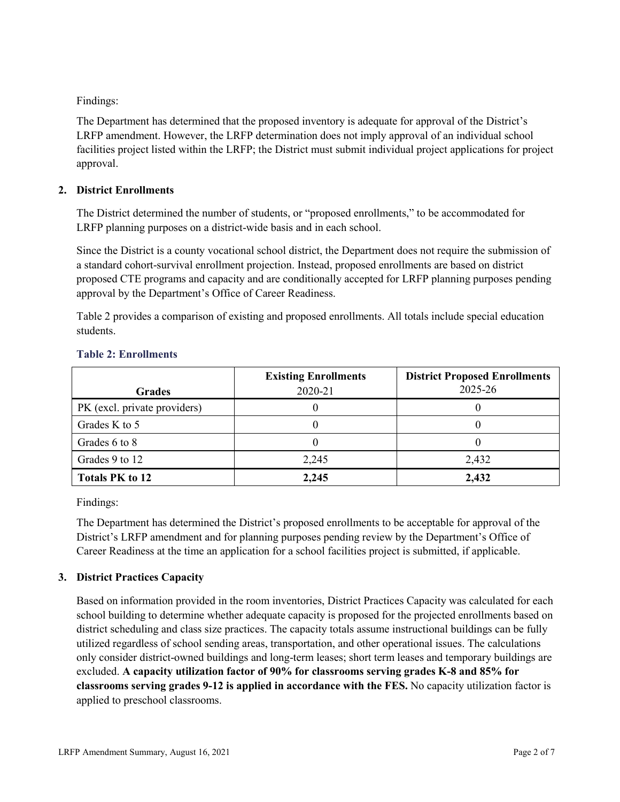Findings:

The Department has determined that the proposed inventory is adequate for approval of the District's LRFP amendment. However, the LRFP determination does not imply approval of an individual school facilities project listed within the LRFP; the District must submit individual project applications for project approval.

#### **2. District Enrollments**

The District determined the number of students, or "proposed enrollments," to be accommodated for LRFP planning purposes on a district-wide basis and in each school.

Since the District is a county vocational school district, the Department does not require the submission of a standard cohort-survival enrollment projection. Instead, proposed enrollments are based on district proposed CTE programs and capacity and are conditionally accepted for LRFP planning purposes pending approval by the Department's Office of Career Readiness.

Table 2 provides a comparison of existing and proposed enrollments. All totals include special education students.

| <b>Grades</b>                | <b>Existing Enrollments</b><br>2020-21 | <b>District Proposed Enrollments</b><br>2025-26 |
|------------------------------|----------------------------------------|-------------------------------------------------|
| PK (excl. private providers) |                                        |                                                 |
| Grades K to 5                |                                        |                                                 |
| Grades 6 to 8                |                                        |                                                 |
| Grades 9 to 12               | 2,245                                  | 2,432                                           |
| <b>Totals PK to 12</b>       | 2,245                                  | 2,432                                           |

#### **Table 2: Enrollments**

Findings:

The Department has determined the District's proposed enrollments to be acceptable for approval of the District's LRFP amendment and for planning purposes pending review by the Department's Office of Career Readiness at the time an application for a school facilities project is submitted, if applicable.

# **3. District Practices Capacity**

Based on information provided in the room inventories, District Practices Capacity was calculated for each school building to determine whether adequate capacity is proposed for the projected enrollments based on district scheduling and class size practices. The capacity totals assume instructional buildings can be fully utilized regardless of school sending areas, transportation, and other operational issues. The calculations only consider district-owned buildings and long-term leases; short term leases and temporary buildings are excluded. **A capacity utilization factor of 90% for classrooms serving grades K-8 and 85% for classrooms serving grades 9-12 is applied in accordance with the FES.** No capacity utilization factor is applied to preschool classrooms.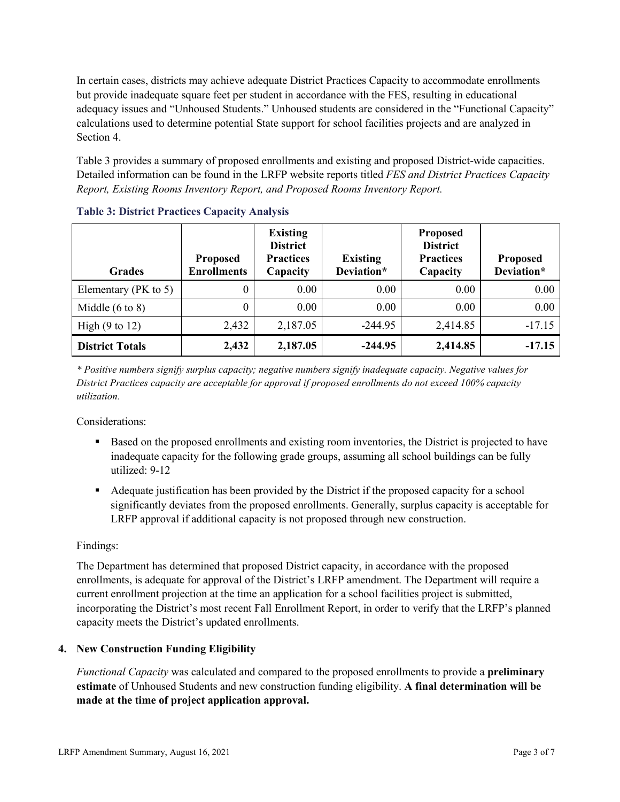In certain cases, districts may achieve adequate District Practices Capacity to accommodate enrollments but provide inadequate square feet per student in accordance with the FES, resulting in educational adequacy issues and "Unhoused Students." Unhoused students are considered in the "Functional Capacity" calculations used to determine potential State support for school facilities projects and are analyzed in Section 4.

Table 3 provides a summary of proposed enrollments and existing and proposed District-wide capacities. Detailed information can be found in the LRFP website reports titled *FES and District Practices Capacity Report, Existing Rooms Inventory Report, and Proposed Rooms Inventory Report.*

| <b>Grades</b>              | <b>Proposed</b><br><b>Enrollments</b> | <b>Existing</b><br><b>District</b><br><b>Practices</b><br>Capacity | <b>Existing</b><br>Deviation* | <b>Proposed</b><br><b>District</b><br><b>Practices</b><br>Capacity | <b>Proposed</b><br>Deviation* |
|----------------------------|---------------------------------------|--------------------------------------------------------------------|-------------------------------|--------------------------------------------------------------------|-------------------------------|
| Elementary ( $PK$ to 5)    | 0                                     | 0.00                                                               | 0.00                          | 0.00                                                               | 0.00                          |
| Middle $(6 \text{ to } 8)$ | 0                                     | 0.00                                                               | 0.00                          | 0.00                                                               | 0.00                          |
| High $(9 \text{ to } 12)$  | 2,432                                 | 2,187.05                                                           | $-244.95$                     | 2,414.85                                                           | $-17.15$                      |
| <b>District Totals</b>     | 2,432                                 | 2,187.05                                                           | $-244.95$                     | 2,414.85                                                           | $-17.15$                      |

|  |  | <b>Table 3: District Practices Capacity Analysis</b> |  |  |
|--|--|------------------------------------------------------|--|--|
|--|--|------------------------------------------------------|--|--|

*\* Positive numbers signify surplus capacity; negative numbers signify inadequate capacity. Negative values for District Practices capacity are acceptable for approval if proposed enrollments do not exceed 100% capacity utilization.*

Considerations:

- Based on the proposed enrollments and existing room inventories, the District is projected to have inadequate capacity for the following grade groups, assuming all school buildings can be fully utilized: 9-12
- Adequate justification has been provided by the District if the proposed capacity for a school significantly deviates from the proposed enrollments. Generally, surplus capacity is acceptable for LRFP approval if additional capacity is not proposed through new construction.

# Findings:

The Department has determined that proposed District capacity, in accordance with the proposed enrollments, is adequate for approval of the District's LRFP amendment. The Department will require a current enrollment projection at the time an application for a school facilities project is submitted, incorporating the District's most recent Fall Enrollment Report, in order to verify that the LRFP's planned capacity meets the District's updated enrollments.

# **4. New Construction Funding Eligibility**

*Functional Capacity* was calculated and compared to the proposed enrollments to provide a **preliminary estimate** of Unhoused Students and new construction funding eligibility. **A final determination will be made at the time of project application approval.**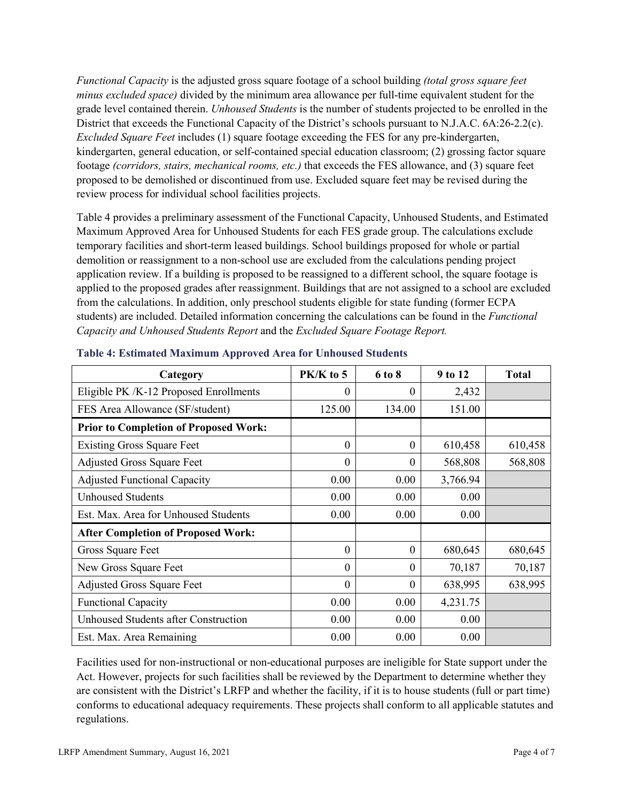*Functional Capacity* is the adjusted gross square footage of a school building *(total gross square feet minus excluded space)* divided by the minimum area allowance per full-time equivalent student for the grade level contained therein. *Unhoused Students* is the number of students projected to be enrolled in the District that exceeds the Functional Capacity of the District's schools pursuant to N.J.A.C. 6A:26-2.2(c). *Excluded Square Feet* includes (1) square footage exceeding the FES for any pre-kindergarten, kindergarten, general education, or self-contained special education classroom; (2) grossing factor square footage *(corridors, stairs, mechanical rooms, etc.)* that exceeds the FES allowance, and (3) square feet proposed to be demolished or discontinued from use. Excluded square feet may be revised during the review process for individual school facilities projects.

Table 4 provides a preliminary assessment of the Functional Capacity, Unhoused Students, and Estimated Maximum Approved Area for Unhoused Students for each FES grade group. The calculations exclude temporary facilities and short-term leased buildings. School buildings proposed for whole or partial demolition or reassignment to a non-school use are excluded from the calculations pending project application review. If a building is proposed to be reassigned to a different school, the square footage is applied to the proposed grades after reassignment. Buildings that are not assigned to a school are excluded from the calculations. In addition, only preschool students eligible for state funding (former ECPA students) are included. Detailed information concerning the calculations can be found in the *Functional Capacity and Unhoused Students Report* and the *Excluded Square Footage Report.*

| Category                                     | PK/K to 5        | 6 to 8   | 9 to 12  | <b>Total</b> |
|----------------------------------------------|------------------|----------|----------|--------------|
| Eligible PK /K-12 Proposed Enrollments       | 0                | 0        | 2,432    |              |
| FES Area Allowance (SF/student)              | 125.00           | 134.00   | 151.00   |              |
| <b>Prior to Completion of Proposed Work:</b> |                  |          |          |              |
| <b>Existing Gross Square Feet</b>            | $\theta$         | $\theta$ | 610,458  | 610,458      |
| <b>Adjusted Gross Square Feet</b>            | $\boldsymbol{0}$ | $\theta$ | 568,808  | 568,808      |
| <b>Adjusted Functional Capacity</b>          | 0.00             | 0.00     | 3,766.94 |              |
| <b>Unhoused Students</b>                     | 0.00             | 0.00     | 0.00     |              |
| Est. Max. Area for Unhoused Students         | 0.00             | 0.00     | 0.00     |              |
| <b>After Completion of Proposed Work:</b>    |                  |          |          |              |
| Gross Square Feet                            | $\theta$         | $\theta$ | 680,645  | 680,645      |
| New Gross Square Feet                        | $\Omega$         | $\theta$ | 70,187   | 70,187       |
| <b>Adjusted Gross Square Feet</b>            | $\Omega$         | $\Omega$ | 638,995  | 638,995      |
| <b>Functional Capacity</b>                   | 0.00             | 0.00     | 4,231.75 |              |
| Unhoused Students after Construction         | 0.00             | 0.00     | 0.00     |              |
| Est. Max. Area Remaining                     | 0.00             | 0.00     | 0.00     |              |

| <b>Table 4: Estimated Maximum Approved Area for Unhoused Students</b> |  |
|-----------------------------------------------------------------------|--|
|                                                                       |  |

Facilities used for non-instructional or non-educational purposes are ineligible for State support under the Act. However, projects for such facilities shall be reviewed by the Department to determine whether they are consistent with the District's LRFP and whether the facility, if it is to house students (full or part time) conforms to educational adequacy requirements. These projects shall conform to all applicable statutes and regulations.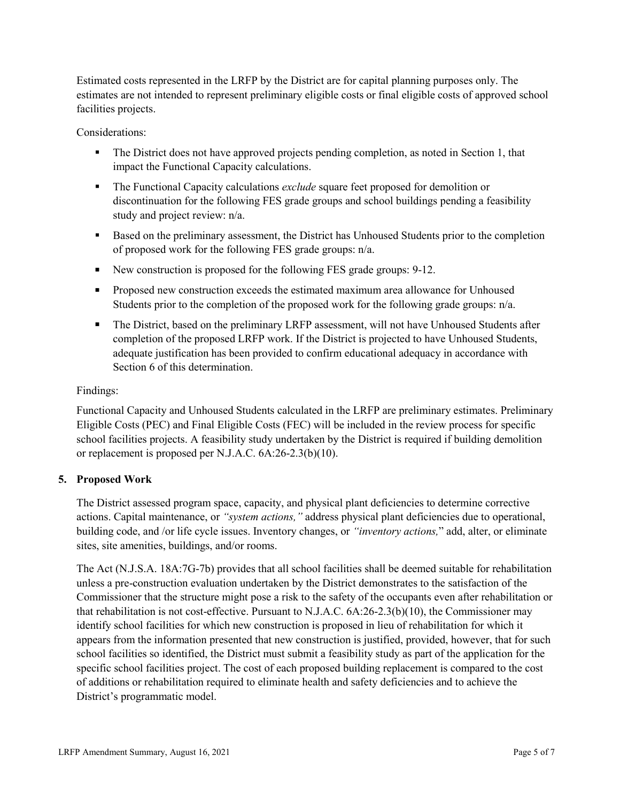Estimated costs represented in the LRFP by the District are for capital planning purposes only. The estimates are not intended to represent preliminary eligible costs or final eligible costs of approved school facilities projects.

Considerations:

- The District does not have approved projects pending completion, as noted in Section 1, that impact the Functional Capacity calculations.
- The Functional Capacity calculations *exclude* square feet proposed for demolition or discontinuation for the following FES grade groups and school buildings pending a feasibility study and project review: n/a.
- Based on the preliminary assessment, the District has Unhoused Students prior to the completion of proposed work for the following FES grade groups: n/a.
- New construction is proposed for the following FES grade groups: 9-12.
- **Proposed new construction exceeds the estimated maximum area allowance for Unhoused** Students prior to the completion of the proposed work for the following grade groups: n/a.
- The District, based on the preliminary LRFP assessment, will not have Unhoused Students after completion of the proposed LRFP work. If the District is projected to have Unhoused Students, adequate justification has been provided to confirm educational adequacy in accordance with Section 6 of this determination.

# Findings:

Functional Capacity and Unhoused Students calculated in the LRFP are preliminary estimates. Preliminary Eligible Costs (PEC) and Final Eligible Costs (FEC) will be included in the review process for specific school facilities projects. A feasibility study undertaken by the District is required if building demolition or replacement is proposed per N.J.A.C. 6A:26-2.3(b)(10).

# **5. Proposed Work**

The District assessed program space, capacity, and physical plant deficiencies to determine corrective actions. Capital maintenance, or *"system actions,"* address physical plant deficiencies due to operational, building code, and /or life cycle issues. Inventory changes, or *"inventory actions,*" add, alter, or eliminate sites, site amenities, buildings, and/or rooms.

The Act (N.J.S.A. 18A:7G-7b) provides that all school facilities shall be deemed suitable for rehabilitation unless a pre-construction evaluation undertaken by the District demonstrates to the satisfaction of the Commissioner that the structure might pose a risk to the safety of the occupants even after rehabilitation or that rehabilitation is not cost-effective. Pursuant to N.J.A.C. 6A:26-2.3(b)(10), the Commissioner may identify school facilities for which new construction is proposed in lieu of rehabilitation for which it appears from the information presented that new construction is justified, provided, however, that for such school facilities so identified, the District must submit a feasibility study as part of the application for the specific school facilities project. The cost of each proposed building replacement is compared to the cost of additions or rehabilitation required to eliminate health and safety deficiencies and to achieve the District's programmatic model.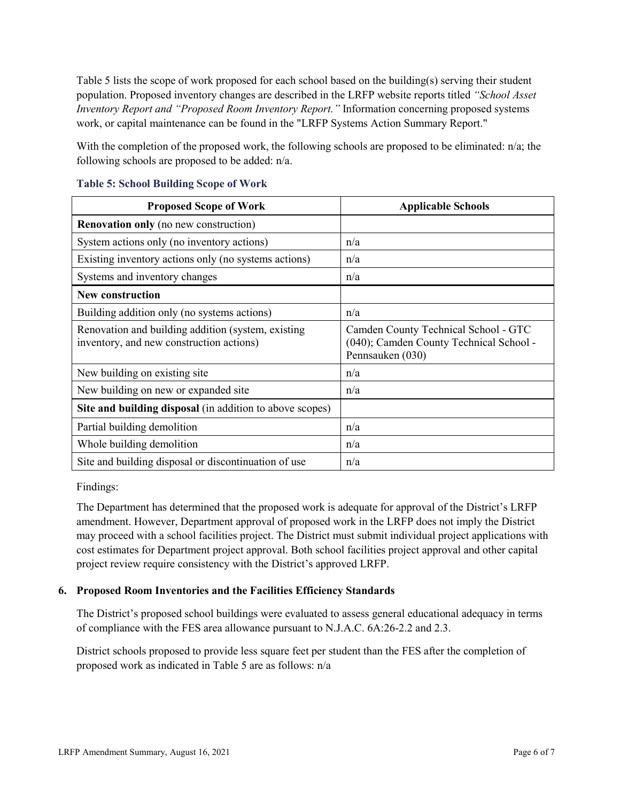Table 5 lists the scope of work proposed for each school based on the building(s) serving their student population. Proposed inventory changes are described in the LRFP website reports titled *"School Asset Inventory Report and "Proposed Room Inventory Report."* Information concerning proposed systems work, or capital maintenance can be found in the "LRFP Systems Action Summary Report."

With the completion of the proposed work, the following schools are proposed to be eliminated: n/a; the following schools are proposed to be added: n/a.

| <b>Proposed Scope of Work</b>                                                                  | <b>Applicable Schools</b>                                                                           |
|------------------------------------------------------------------------------------------------|-----------------------------------------------------------------------------------------------------|
| <b>Renovation only</b> (no new construction)                                                   |                                                                                                     |
| System actions only (no inventory actions)                                                     | n/a                                                                                                 |
| Existing inventory actions only (no systems actions)                                           | n/a                                                                                                 |
| Systems and inventory changes                                                                  | n/a                                                                                                 |
| <b>New construction</b>                                                                        |                                                                                                     |
| Building addition only (no systems actions)                                                    | n/a                                                                                                 |
| Renovation and building addition (system, existing<br>inventory, and new construction actions) | Camden County Technical School - GTC<br>(040); Camden County Technical School -<br>Pennsauken (030) |
| New building on existing site                                                                  | n/a                                                                                                 |
| New building on new or expanded site                                                           | n/a                                                                                                 |
| Site and building disposal (in addition to above scopes)                                       |                                                                                                     |
| Partial building demolition                                                                    | n/a                                                                                                 |
| Whole building demolition                                                                      | n/a                                                                                                 |
| Site and building disposal or discontinuation of use                                           | n/a                                                                                                 |

#### **Table 5: School Building Scope of Work**

Findings:

The Department has determined that the proposed work is adequate for approval of the District's LRFP amendment. However, Department approval of proposed work in the LRFP does not imply the District may proceed with a school facilities project. The District must submit individual project applications with cost estimates for Department project approval. Both school facilities project approval and other capital project review require consistency with the District's approved LRFP.

# **6. Proposed Room Inventories and the Facilities Efficiency Standards**

The District's proposed school buildings were evaluated to assess general educational adequacy in terms of compliance with the FES area allowance pursuant to N.J.A.C. 6A:26-2.2 and 2.3.

District schools proposed to provide less square feet per student than the FES after the completion of proposed work as indicated in Table 5 are as follows: n/a